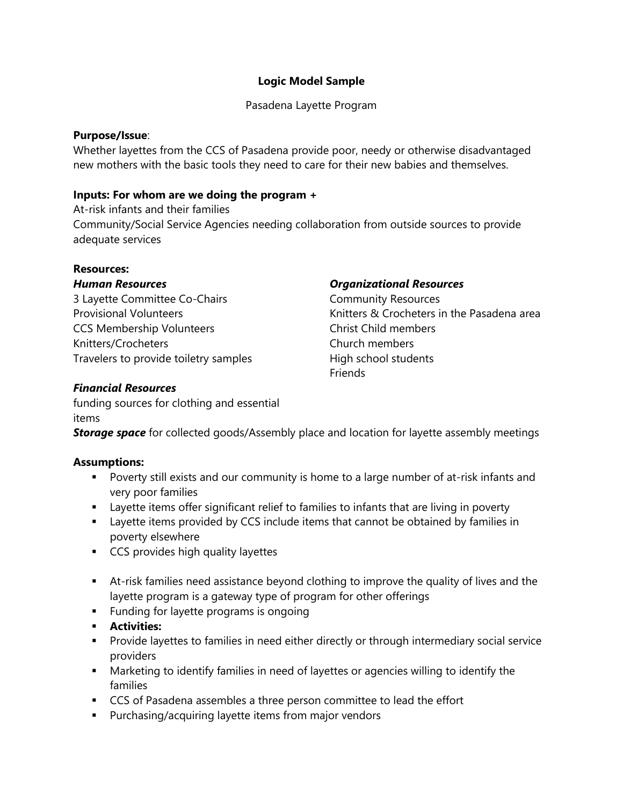# **Logic Model Sample**

Pasadena Layette Program

#### **Purpose/Issue**:

Whether layettes from the CCS of Pasadena provide poor, needy or otherwise disadvantaged new mothers with the basic tools they need to care for their new babies and themselves.

### **Inputs: For whom are we doing the program +**

At-risk infants and their families Community/Social Service Agencies needing collaboration from outside sources to provide adequate services

### **Resources:**

### *Human Resources*

3 Layette Committee Co-Chairs Provisional Volunteers CCS Membership Volunteers Knitters/Crocheters Travelers to provide toiletry samples

### *Organizational Resources*

Community Resources Knitters & Crocheters in the Pasadena area Christ Child members Church members High school students **Friends** 

# *Financial Resources*

funding sources for clothing and essential items

**Storage space** for collected goods/Assembly place and location for layette assembly meetings

### **Assumptions:**

- Poverty still exists and our community is home to a large number of at-risk infants and very poor families
- Layette items offer significant relief to families to infants that are living in poverty
- Layette items provided by CCS include items that cannot be obtained by families in poverty elsewhere
- CCS provides high quality layettes
- **EXT** At-risk families need assistance beyond clothing to improve the quality of lives and the layette program is a gateway type of program for other offerings
- Funding for layette programs is ongoing
- **Activities:**
- **•** Provide layettes to families in need either directly or through intermediary social service providers
- **■** Marketing to identify families in need of layettes or agencies willing to identify the families
- CCS of Pasadena assembles a three person committee to lead the effort
- Purchasing/acquiring layette items from major vendors